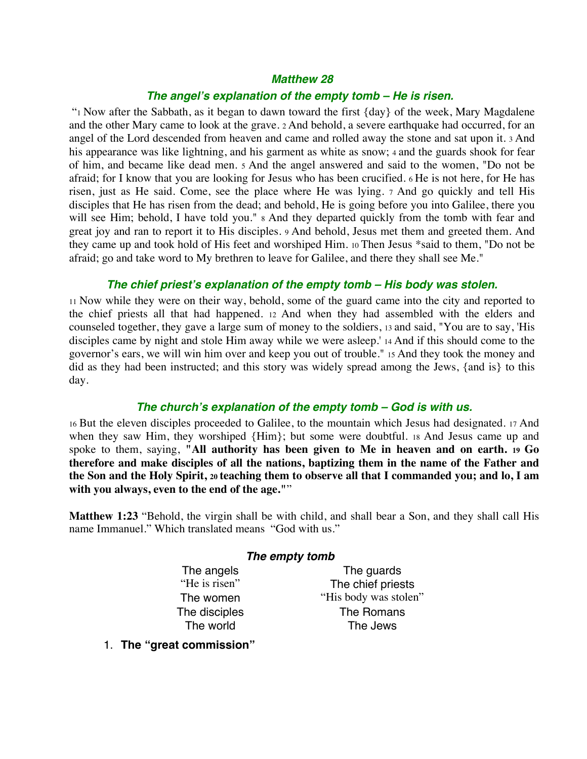# *Matthew 28*

#### *The angel***'***s explanation of the empty tomb – He is risen.*

 "1 Now after the Sabbath, as it began to dawn toward the first {day} of the week, Mary Magdalene and the other Mary came to look at the grave. 2 And behold, a severe earthquake had occurred, for an angel of the Lord descended from heaven and came and rolled away the stone and sat upon it. 3 And his appearance was like lightning, and his garment as white as snow; 4 and the guards shook for fear of him, and became like dead men. 5 And the angel answered and said to the women, "Do not be afraid; for I know that you are looking for Jesus who has been crucified. 6 He is not here, for He has risen, just as He said. Come, see the place where He was lying. 7 And go quickly and tell His disciples that He has risen from the dead; and behold, He is going before you into Galilee, there you will see Him; behold, I have told you."  $\alpha$  And they departed quickly from the tomb with fear and great joy and ran to report it to His disciples. 9 And behold, Jesus met them and greeted them. And they came up and took hold of His feet and worshiped Him. 10 Then Jesus \*said to them, "Do not be afraid; go and take word to My brethren to leave for Galilee, and there they shall see Me."

### *The chief priest***'***s explanation of the empty tomb – His body was stolen.*

11 Now while they were on their way, behold, some of the guard came into the city and reported to the chief priests all that had happened. 12 And when they had assembled with the elders and counseled together, they gave a large sum of money to the soldiers, 13 and said, "You are to say, 'His disciples came by night and stole Him away while we were asleep.' 14 And if this should come to the governor's ears, we will win him over and keep you out of trouble." 15 And they took the money and did as they had been instructed; and this story was widely spread among the Jews, {and is} to this day.

# *The church***'***s explanation of the empty tomb – God is with us.*

16 But the eleven disciples proceeded to Galilee, to the mountain which Jesus had designated. 17 And when they saw Him, they worshiped {Him}; but some were doubtful. 18 And Jesus came up and spoke to them, saying, **"All authority has been given to Me in heaven and on earth. 19 Go therefore and make disciples of all the nations, baptizing them in the name of the Father and the Son and the Holy Spirit, 20 teaching them to observe all that I commanded you; and lo, I am with you always, even to the end of the age."**"

**Matthew 1:23** "Behold, the virgin shall be with child, and shall bear a Son, and they shall call His name Immanuel." Which translated means "God with us."

# *The empty tomb*

The angels The guards "He is risen" The chief priests The women "His body was stolen" The disciples The Romans The world The Jews

1. **The "great commission"**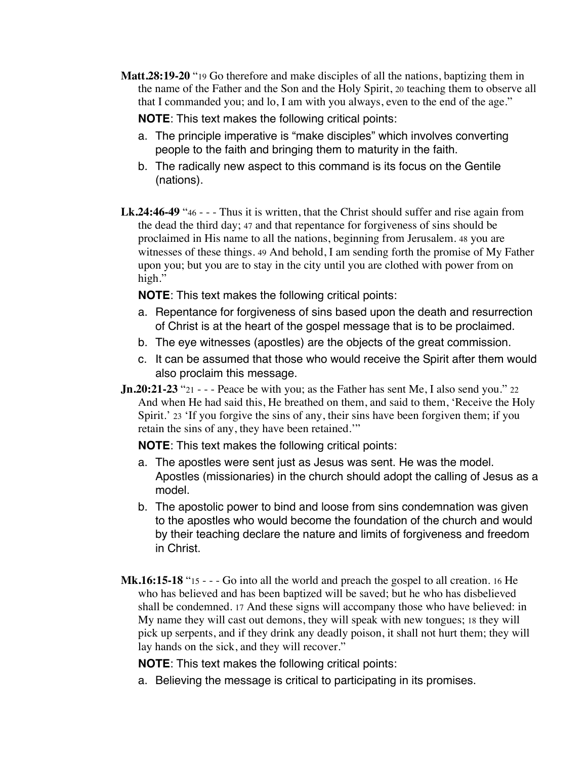**Matt.28:19-20** "19 Go therefore and make disciples of all the nations, baptizing them in the name of the Father and the Son and the Holy Spirit, 20 teaching them to observe all that I commanded you; and lo, I am with you always, even to the end of the age."

**NOTE**: This text makes the following critical points:

- a. The principle imperative is "make disciples" which involves converting people to the faith and bringing them to maturity in the faith.
- b. The radically new aspect to this command is its focus on the Gentile (nations).
- **Lk.24:46-49** "46 - Thus it is written, that the Christ should suffer and rise again from the dead the third day; 47 and that repentance for forgiveness of sins should be proclaimed in His name to all the nations, beginning from Jerusalem. 48 you are witnesses of these things. 49 And behold, I am sending forth the promise of My Father upon you; but you are to stay in the city until you are clothed with power from on high."

**NOTE**: This text makes the following critical points:

- a. Repentance for forgiveness of sins based upon the death and resurrection of Christ is at the heart of the gospel message that is to be proclaimed.
- b. The eye witnesses (apostles) are the objects of the great commission.
- c. It can be assumed that those who would receive the Spirit after them would also proclaim this message.
- **Jn.20:21-23** "21 - Peace be with you; as the Father has sent Me, I also send you." 22 And when He had said this, He breathed on them, and said to them, 'Receive the Holy Spirit.' 23 'If you forgive the sins of any, their sins have been forgiven them; if you retain the sins of any, they have been retained.'"

**NOTE**: This text makes the following critical points:

- a. The apostles were sent just as Jesus was sent. He was the model. Apostles (missionaries) in the church should adopt the calling of Jesus as a model.
- b. The apostolic power to bind and loose from sins condemnation was given to the apostles who would become the foundation of the church and would by their teaching declare the nature and limits of forgiveness and freedom in Christ.
- **Mk.16:15-18** "15 - Go into all the world and preach the gospel to all creation. 16 He who has believed and has been baptized will be saved; but he who has disbelieved shall be condemned. 17 And these signs will accompany those who have believed: in My name they will cast out demons, they will speak with new tongues; 18 they will pick up serpents, and if they drink any deadly poison, it shall not hurt them; they will lay hands on the sick, and they will recover."

**NOTE**: This text makes the following critical points:

a. Believing the message is critical to participating in its promises.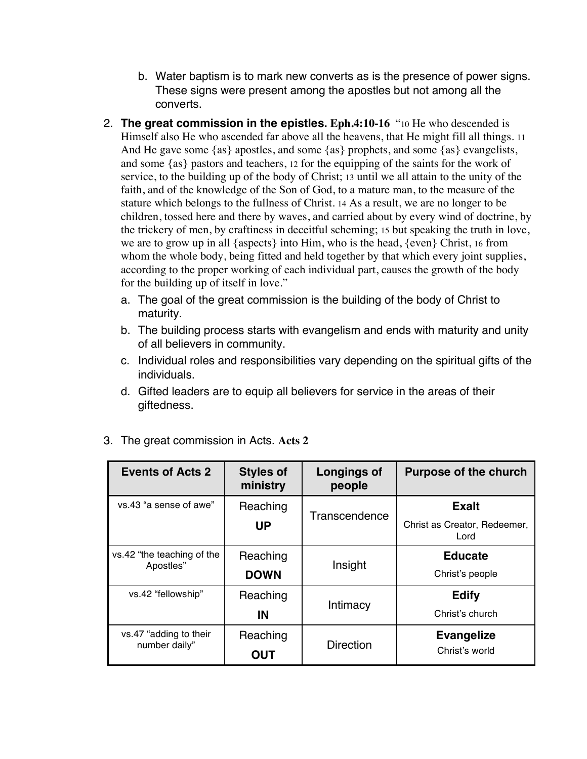- b. Water baptism is to mark new converts as is the presence of power signs. These signs were present among the apostles but not among all the converts.
- 2. **The great commission in the epistles. Eph.4:10-16** "10 He who descended is Himself also He who ascended far above all the heavens, that He might fill all things. 11 And He gave some {as} apostles, and some {as} prophets, and some {as} evangelists, and some {as} pastors and teachers, 12 for the equipping of the saints for the work of service, to the building up of the body of Christ; 13 until we all attain to the unity of the faith, and of the knowledge of the Son of God, to a mature man, to the measure of the stature which belongs to the fullness of Christ. 14 As a result, we are no longer to be children, tossed here and there by waves, and carried about by every wind of doctrine, by the trickery of men, by craftiness in deceitful scheming; 15 but speaking the truth in love, we are to grow up in all {aspects} into Him, who is the head, {even} Christ, 16 from whom the whole body, being fitted and held together by that which every joint supplies, according to the proper working of each individual part, causes the growth of the body for the building up of itself in love."
	- a. The goal of the great commission is the building of the body of Christ to maturity.
	- b. The building process starts with evangelism and ends with maturity and unity of all believers in community.
	- c. Individual roles and responsibilities vary depending on the spiritual gifts of the individuals.
	- d. Gifted leaders are to equip all believers for service in the areas of their giftedness.

| <b>Events of Acts 2</b>                 | <b>Styles of</b><br>ministry | Longings of<br>people | <b>Purpose of the church</b>         |
|-----------------------------------------|------------------------------|-----------------------|--------------------------------------|
| vs.43 "a sense of awe"                  | Reaching                     | Transcendence         | <b>Exalt</b>                         |
|                                         | <b>UP</b>                    |                       | Christ as Creator, Redeemer,<br>Lord |
| vs.42 "the teaching of the<br>Apostles" | Reaching                     | Insight               | <b>Educate</b>                       |
|                                         | <b>DOWN</b>                  |                       | Christ's people                      |
| vs.42 "fellowship"                      | Reaching                     | Intimacy              | <b>Edify</b>                         |
|                                         | IN                           |                       | Christ's church                      |
| vs.47 "adding to their<br>number daily" | Reaching                     | <b>Direction</b>      | <b>Evangelize</b>                    |
|                                         | <b>OUT</b>                   |                       | Christ's world                       |

3. The great commission in Acts. **Acts 2**